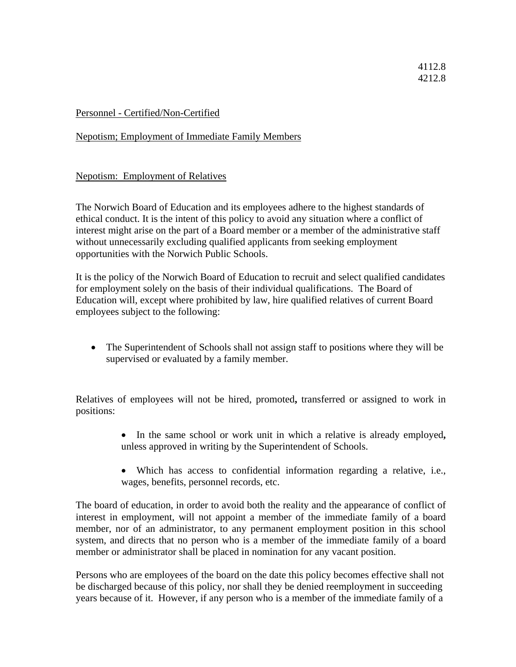## 4112.8 4212.8

## Personnel - Certified/Non-Certified

## Nepotism; Employment of Immediate Family Members

## Nepotism: Employment of Relatives

The Norwich Board of Education and its employees adhere to the highest standards of ethical conduct. It is the intent of this policy to avoid any situation where a conflict of interest might arise on the part of a Board member or a member of the administrative staff without unnecessarily excluding qualified applicants from seeking employment opportunities with the Norwich Public Schools.

It is the policy of the Norwich Board of Education to recruit and select qualified candidates for employment solely on the basis of their individual qualifications. The Board of Education will, except where prohibited by law, hire qualified relatives of current Board employees subject to the following:

• The Superintendent of Schools shall not assign staff to positions where they will be supervised or evaluated by a family member.

Relatives of employees will not be hired, promoted**,** transferred or assigned to work in positions:

- In the same school or work unit in which a relative is already employed**,**  unless approved in writing by the Superintendent of Schools.
- Which has access to confidential information regarding a relative, i.e., wages, benefits, personnel records, etc.

The board of education, in order to avoid both the reality and the appearance of conflict of interest in employment, will not appoint a member of the immediate family of a board member, nor of an administrator, to any permanent employment position in this school system, and directs that no person who is a member of the immediate family of a board member or administrator shall be placed in nomination for any vacant position.

Persons who are employees of the board on the date this policy becomes effective shall not be discharged because of this policy, nor shall they be denied reemployment in succeeding years because of it. However, if any person who is a member of the immediate family of a